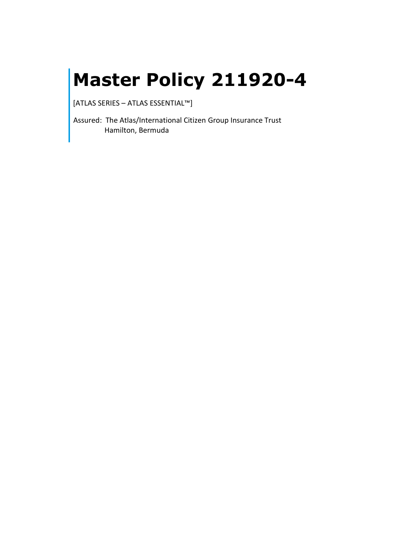# **Master Policy 211920-4**

[ATLAS SERIES – ATLAS ESSENTIAL™]

Assured: The Atlas/International Citizen Group Insurance Trust Hamilton, Bermuda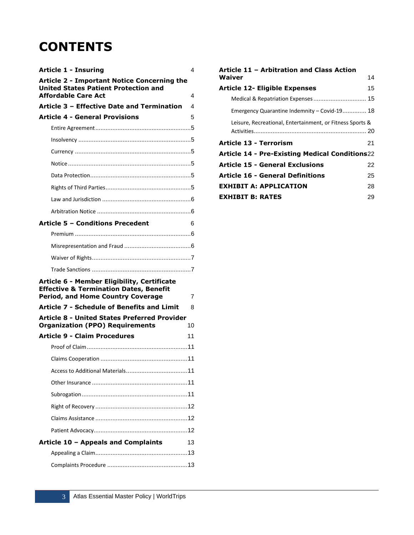# **CONTENTS**

| <b>Article 1 - Insuring</b>                                                                                                     | 4  |
|---------------------------------------------------------------------------------------------------------------------------------|----|
| <b>Article 2 - Important Notice Concerning the</b><br><b>United States Patient Protection and</b><br><b>Affordable Care Act</b> | 4  |
| Article 3 - Effective Date and Termination                                                                                      | 4  |
| <b>Article 4 - General Provisions</b>                                                                                           | 5  |
|                                                                                                                                 |    |
|                                                                                                                                 |    |
|                                                                                                                                 |    |
|                                                                                                                                 |    |
|                                                                                                                                 |    |
|                                                                                                                                 |    |
|                                                                                                                                 |    |
|                                                                                                                                 |    |
| Article 5 - Conditions Precedent                                                                                                | 6  |
|                                                                                                                                 |    |
|                                                                                                                                 |    |
|                                                                                                                                 |    |
|                                                                                                                                 |    |
| Article 6 - Member Eligibility, Certificate<br><b>Effective &amp; Termination Dates, Benefit</b>                                |    |
| <b>Period, and Home Country Coverage</b>                                                                                        | 7  |
| <b>Article 7 - Schedule of Benefits and Limit</b>                                                                               | 8  |
| <b>Article 8 - United States Preferred Provider</b><br><b>Organization (PPO) Requirements</b>                                   | 10 |
| <b>Article 9 - Claim Procedures</b>                                                                                             | 11 |
|                                                                                                                                 |    |
|                                                                                                                                 |    |
|                                                                                                                                 |    |
|                                                                                                                                 |    |
|                                                                                                                                 |    |
|                                                                                                                                 |    |
|                                                                                                                                 |    |
|                                                                                                                                 |    |
| Article 10 - Appeals and Complaints                                                                                             | 13 |
|                                                                                                                                 |    |
|                                                                                                                                 |    |

| Article 11 - Arbitration and Class Action                 |    |
|-----------------------------------------------------------|----|
| Waiver                                                    | 14 |
| <b>Article 12- Eligible Expenses</b>                      | 15 |
|                                                           |    |
| Emergency Quarantine Indemnity - Covid-19 18              |    |
| Leisure, Recreational, Entertainment, or Fitness Sports & |    |
| <b>Article 13 - Terrorism</b>                             | 21 |
| <b>Article 14 - Pre-Existing Medical Conditions22</b>     |    |
| <b>Article 15 - General Exclusions</b>                    | 22 |
| <b>Article 16 - General Definitions</b>                   | 25 |
| <b>EXHIBIT A: APPLICATION</b>                             | 28 |
| <b>EXHIBIT B: RATES</b>                                   | 29 |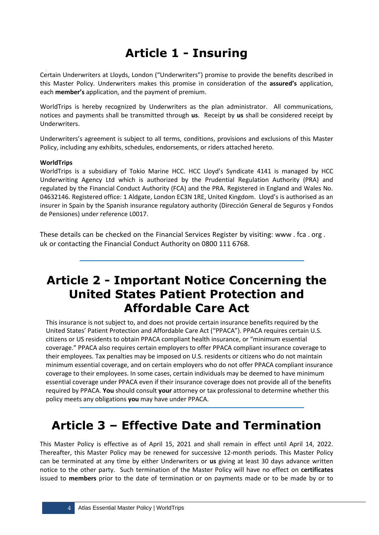# **Article 1 - Insuring**

<span id="page-2-0"></span>Certain Underwriters at Lloyds, London ("Underwriters") promise to provide the benefits described in this Master Policy. Underwriters makes this promise in consideration of the **assured's** application, each **member's** application, and the payment of premium.

WorldTrips is hereby recognized by Underwriters as the plan administrator. All communications, notices and payments shall be transmitted through **us**. Receipt by **us** shall be considered receipt by Underwriters.

Underwriters's agreement is subject to all terms, conditions, provisions and exclusions of this Master Policy, including any exhibits, schedules, endorsements, or riders attached hereto.

#### **WorldTrips**

WorldTrips is a subsidiary of Tokio Marine HCC. HCC Lloyd's Syndicate 4141 is managed by HCC Underwriting Agency Ltd which is authorized by the Prudential Regulation Authority (PRA) and regulated by the Financial Conduct Authority (FCA) and the PRA. Registered in England and Wales No. 04632146. Registered office: 1 Aldgate, London EC3N 1RE, United Kingdom. Lloyd's is authorised as an insurer in Spain by the Spanish insurance regulatory authority (Dirección General de Seguros y Fondos de Pensiones) under reference L0017.

<span id="page-2-1"></span>These details can be checked on the Financial Services Register by visiting: www . fca . org . uk or contacting the Financial Conduct Authority on 0800 111 6768.

# **Article 2 - Important Notice Concerning the United States Patient Protection and Affordable Care Act**

This insurance is not subject to, and does not provide certain insurance benefits required by the United States' Patient Protection and Affordable Care Act ("PPACA"). PPACA requires certain U.S. citizens or US residents to obtain PPACA compliant health insurance, or "minimum essential coverage." PPACA also requires certain employers to offer PPACA compliant insurance coverage to their employees. Tax penalties may be imposed on U.S. residents or citizens who do not maintain minimum essential coverage, and on certain employers who do not offer PPACA compliant insurance coverage to their employees. In some cases, certain individuals may be deemed to have minimum essential coverage under PPACA even if their insurance coverage does not provide all of the benefits required by PPACA. **You** should consult **your** attorney or tax professional to determine whether this policy meets any obligations **you** may have under PPACA.

# <span id="page-2-2"></span>**Article 3 – Effective Date and Termination**

This Master Policy is effective as of April 15, 2021 and shall remain in effect until April 14, 2022. Thereafter, this Master Policy may be renewed for successive 12-month periods. This Master Policy can be terminated at any time by either Underwriters or **us** giving at least 30 days advance written notice to the other party. Such termination of the Master Policy will have no effect on **certificates** issued to **members** prior to the date of termination or on payments made or to be made by or to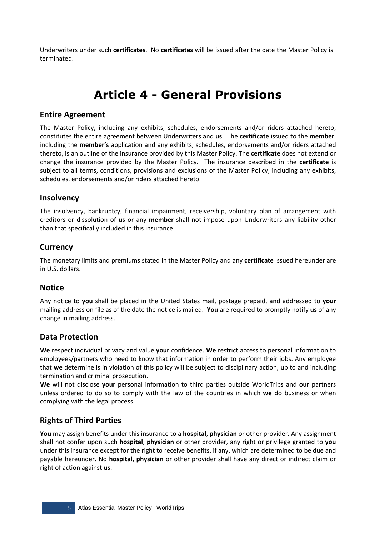<span id="page-3-1"></span><span id="page-3-0"></span>Underwriters under such **certificates**. No **certificates** will be issued after the date the Master Policy is terminated.

# **Article 4 - General Provisions**

### **Entire Agreement**

<span id="page-3-2"></span>The Master Policy, including any exhibits, schedules, endorsements and/or riders attached hereto, constitutes the entire agreement between Underwriters and **us**. The **certificate** issued to the **member**, including the **member's** application and any exhibits, schedules, endorsements and/or riders attached thereto, is an outline of the insurance provided by this Master Policy. The **certificate** does not extend or change the insurance provided by the Master Policy. The insurance described in the **certificate** is subject to all terms, conditions, provisions and exclusions of the Master Policy, including any exhibits, schedules, endorsements and/or riders attached hereto.

### **Insolvency**

<span id="page-3-3"></span>The insolvency, bankruptcy, financial impairment, receivership, voluntary plan of arrangement with creditors or dissolution of **us** or any **member** shall not impose upon Underwriters any liability other than that specifically included in this insurance.

### <span id="page-3-4"></span>**Currency**

The monetary limits and premiums stated in the Master Policy and any **certificate** issued hereunder are in U.S. dollars.

### **Notice**

<span id="page-3-5"></span>Any notice to **you** shall be placed in the United States mail, postage prepaid, and addressed to **your** mailing address on file as of the date the notice is mailed. **You** are required to promptly notify **us** of any change in mailing address.

### **Data Protection**

**We** respect individual privacy and value **your** confidence. **We** restrict access to personal information to employees/partners who need to know that information in order to perform their jobs. Any employee that **we** determine is in violation of this policy will be subject to disciplinary action, up to and including termination and criminal prosecution.

<span id="page-3-6"></span>**We** will not disclose **your** personal information to third parties outside WorldTrips and **our** partners unless ordered to do so to comply with the law of the countries in which **we** do business or when complying with the legal process.

### **Rights of Third Parties**

**You** may assign benefits under this insurance to a **hospital**, **physician** or other provider. Any assignment shall not confer upon such **hospital**, **physician** or other provider, any right or privilege granted to **you**  under this insurance except for the right to receive benefits, if any, which are determined to be due and payable hereunder. No **hospital**, **physician** or other provider shall have any direct or indirect claim or right of action against **us**.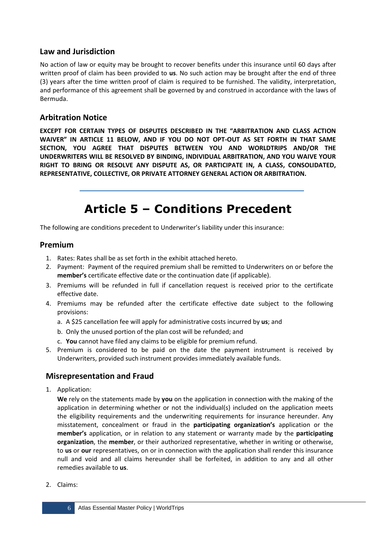### <span id="page-4-0"></span>**Law and Jurisdiction**

<span id="page-4-1"></span>No action of law or equity may be brought to recover benefits under this insurance until 60 days after written proof of claim has been provided to **us**. No such action may be brought after the end of three (3) years after the time written proof of claim is required to be furnished. The validity, interpretation, and performance of this agreement shall be governed by and construed in accordance with the laws of Bermuda.

### **Arbitration Notice**

<span id="page-4-2"></span>**EXCEPT FOR CERTAIN TYPES OF DISPUTES DESCRIBED IN THE "ARBITRATION AND CLASS ACTION WAIVER" IN ARTICLE 11 BELOW, AND IF YOU DO NOT OPT-OUT AS SET FORTH IN THAT SAME SECTION, YOU AGREE THAT DISPUTES BETWEEN YOU AND WORLDTRIPS AND/OR THE UNDERWRITERS WILL BE RESOLVED BY BINDING, INDIVIDUAL ARBITRATION, AND YOU WAIVE YOUR RIGHT TO BRING OR RESOLVE ANY DISPUTE AS, OR PARTICIPATE IN, A CLASS, CONSOLIDATED, REPRESENTATIVE, COLLECTIVE, OR PRIVATE ATTORNEY GENERAL ACTION OR ARBITRATION.**

# **Article 5 – Conditions Precedent**

<span id="page-4-3"></span>The following are conditions precedent to Underwriter's liability under this insurance:

### **Premium**

- 1. Rates: Rates shall be as set forth in the exhibit attached hereto.
- 2. Payment: Payment of the required premium shall be remitted to Underwriters on or before the **member's** certificate effective date or the continuation date (if applicable).
- 3. Premiums will be refunded in full if cancellation request is received prior to the certificate effective date.
- 4. Premiums may be refunded after the certificate effective date subject to the following provisions:
	- a. A \$25 cancellation fee will apply for administrative costs incurred by **us**; and
	- b. Only the unused portion of the plan cost will be refunded; and
	- c. **You** cannot have filed any claims to be eligible for premium refund.
- <span id="page-4-4"></span>5. Premium is considered to be paid on the date the payment instrument is received by Underwriters, provided such instrument provides immediately available funds.

### **Misrepresentation and Fraud**

1. Application:

**We** rely on the statements made by **you** on the application in connection with the making of the application in determining whether or not the individual(s) included on the application meets the eligibility requirements and the underwriting requirements for insurance hereunder. Any misstatement, concealment or fraud in the **participating organization's** application or the **member's** application, or in relation to any statement or warranty made by the **participating organization**, the **member**, or their authorized representative, whether in writing or otherwise, to **us** or **our** representatives, on or in connection with the application shall render this insurance null and void and all claims hereunder shall be forfeited, in addition to any and all other remedies available to **us**.

2. Claims: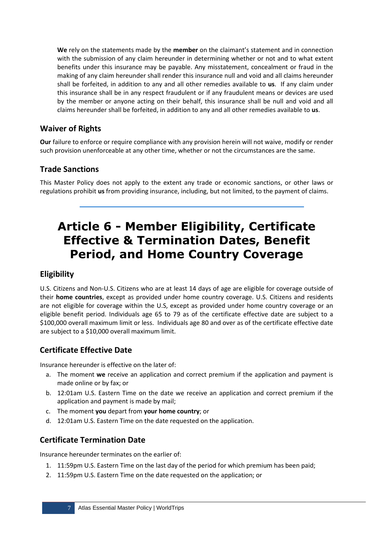<span id="page-5-0"></span>**We** rely on the statements made by the **member** on the claimant's statement and in connection with the submission of any claim hereunder in determining whether or not and to what extent benefits under this insurance may be payable. Any misstatement, concealment or fraud in the making of any claim hereunder shall render this insurance null and void and all claims hereunder shall be forfeited, in addition to any and all other remedies available to **us**. If any claim under this insurance shall be in any respect fraudulent or if any fraudulent means or devices are used by the member or anyone acting on their behalf, this insurance shall be null and void and all claims hereunder shall be forfeited, in addition to any and all other remedies available to **us**.

## <span id="page-5-1"></span>**Waiver of Rights**

**Our** failure to enforce or require compliance with any provision herein will not waive, modify or render such provision unenforceable at any other time, whether or not the circumstances are the same.

## **Trade Sanctions**

<span id="page-5-2"></span>This Master Policy does not apply to the extent any trade or economic sanctions, or other laws or regulations prohibit **us** from providing insurance, including, but not limited, to the payment of claims.

# **Article 6 - Member Eligibility, Certificate Effective & Termination Dates, Benefit Period, and Home Country Coverage**

### **Eligibility**

U.S. Citizens and Non-U.S. Citizens who are at least 14 days of age are eligible for coverage outside of their **home countries**, except as provided under home country coverage. U.S. Citizens and residents are not eligible for coverage within the U.S, except as provided under home country coverage or an eligible benefit period. Individuals age 65 to 79 as of the certificate effective date are subject to a \$100,000 overall maximum limit or less. Individuals age 80 and over as of the certificate effective date are subject to a \$10,000 overall maximum limit.

# **Certificate Effective Date**

Insurance hereunder is effective on the later of:

- a. The moment **we** receive an application and correct premium if the application and payment is made online or by fax; or
- b. 12:01am U.S. Eastern Time on the date we receive an application and correct premium if the application and payment is made by mail;
- c. The moment **you** depart from **your home country**; or
- d. 12:01am U.S. Eastern Time on the date requested on the application.

# **Certificate Termination Date**

Insurance hereunder terminates on the earlier of:

- 1. 11:59pm U.S. Eastern Time on the last day of the period for which premium has been paid;
- 2. 11:59pm U.S. Eastern Time on the date requested on the application; or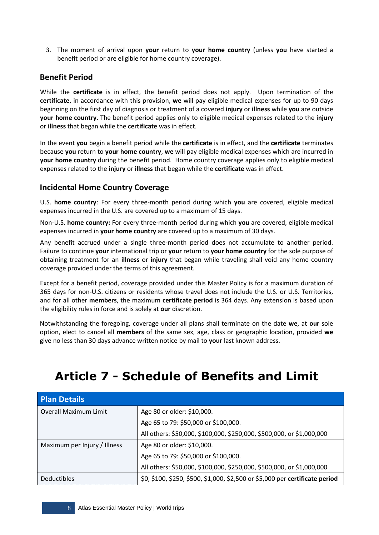3. The moment of arrival upon **your** return to **your home country** (unless **you** have started a benefit period or are eligible for home country coverage).

### **Benefit Period**

While the **certificate** is in effect, the benefit period does not apply. Upon termination of the **certificate**, in accordance with this provision, **we** will pay eligible medical expenses for up to 90 days beginning on the first day of diagnosis or treatment of a covered **injury** or **illness** while **you** are outside **your home country**. The benefit period applies only to eligible medical expenses related to the **injury** or **illness** that began while the **certificate** was in effect.

In the event **you** begin a benefit period while the **certificate** is in effect, and the **certificate** terminates because **you** return to **your home country**, **we** will pay eligible medical expenses which are incurred in **your home country** during the benefit period. Home country coverage applies only to eligible medical expenses related to the **injury** or **illness** that began while the **certificate** was in effect.

### **Incidental Home Country Coverage**

U.S. **home country**: For every three-month period during which **you** are covered, eligible medical expenses incurred in the U.S. are covered up to a maximum of 15 days.

Non-U.S. **home country:** For every three-month period during which **you** are covered, eligible medical expenses incurred in **your home country** are covered up to a maximum of 30 days.

Any benefit accrued under a single three-month period does not accumulate to another period. Failure to continue **your** international trip or **your** return to **your home country** for the sole purpose of obtaining treatment for an **illness** or **injury** that began while traveling shall void any home country coverage provided under the terms of this agreement.

Except for a benefit period, coverage provided under this Master Policy is for a maximum duration of 365 days for non-U.S. citizens or residents whose travel does not include the U.S. or U.S. Territories, and for all other **members**, the maximum **certificate period** is 364 days. Any extension is based upon the eligibility rules in force and is solely at **our** discretion.

<span id="page-6-0"></span>Notwithstanding the foregoing, coverage under all plans shall terminate on the date **we**, at **our** sole option, elect to cancel all **members** of the same sex, age, class or geographic location, provided **we** give no less than 30 days advance written notice by mail to **your** last known address.

# **Article 7 - Schedule of Benefits and Limit**

| <b>Plan Details</b>          |                                                                              |
|------------------------------|------------------------------------------------------------------------------|
| Overall Maximum Limit        | Age 80 or older: \$10,000.                                                   |
|                              | Age 65 to 79: \$50,000 or \$100,000.                                         |
|                              | All others: \$50,000, \$100,000, \$250,000, \$500,000, or \$1,000,000        |
| Maximum per Injury / Illness | Age 80 or older: \$10,000.                                                   |
|                              | Age 65 to 79: \$50,000 or \$100,000.                                         |
|                              | All others: \$50,000, \$100,000, \$250,000, \$500,000, or \$1,000,000        |
| <b>Deductibles</b>           | \$0, \$100, \$250, \$500, \$1,000, \$2,500 or \$5,000 per certificate period |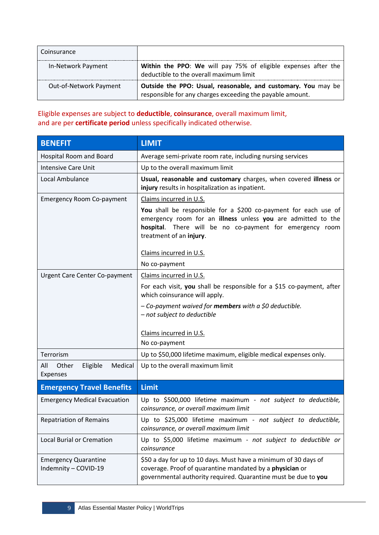| Coinsurance            |                                                                                                                            |
|------------------------|----------------------------------------------------------------------------------------------------------------------------|
| In-Network Payment     | Within the PPO: We will pay 75% of eligible expenses after the<br>deductible to the overall maximum limit                  |
| Out-of-Network Payment | Outside the PPO: Usual, reasonable, and customary. You may be<br>responsible for any charges exceeding the payable amount. |

### Eligible expenses are subject to **deductible**, **coinsurance**, overall maximum limit, and are per **certificate period** unless specifically indicated otherwise.

| <b>BENEFIT</b>                                      | <b>LIMIT</b>                                                                                                                                                                                                           |
|-----------------------------------------------------|------------------------------------------------------------------------------------------------------------------------------------------------------------------------------------------------------------------------|
| <b>Hospital Room and Board</b>                      | Average semi-private room rate, including nursing services                                                                                                                                                             |
| <b>Intensive Care Unit</b>                          | Up to the overall maximum limit                                                                                                                                                                                        |
| Local Ambulance                                     | Usual, reasonable and customary charges, when covered illness or<br>injury results in hospitalization as inpatient.                                                                                                    |
| <b>Emergency Room Co-payment</b>                    | Claims incurred in U.S.                                                                                                                                                                                                |
|                                                     | You shall be responsible for a \$200 co-payment for each use of<br>emergency room for an illness unless you are admitted to the<br>hospital. There will be no co-payment for emergency room<br>treatment of an injury. |
|                                                     | Claims incurred in U.S.                                                                                                                                                                                                |
|                                                     | No co-payment                                                                                                                                                                                                          |
| <b>Urgent Care Center Co-payment</b>                | Claims incurred in U.S.                                                                                                                                                                                                |
|                                                     | For each visit, you shall be responsible for a \$15 co-payment, after<br>which coinsurance will apply.                                                                                                                 |
|                                                     | - Co-payment waived for members with a \$0 deductible.<br>- not subject to deductible                                                                                                                                  |
|                                                     | Claims incurred in U.S.                                                                                                                                                                                                |
|                                                     | No co-payment                                                                                                                                                                                                          |
| Terrorism                                           | Up to \$50,000 lifetime maximum, eligible medical expenses only.                                                                                                                                                       |
| All<br>Eligible<br>Medical<br>Other<br>Expenses     | Up to the overall maximum limit                                                                                                                                                                                        |
| <b>Emergency Travel Benefits</b>                    | <b>Limit</b>                                                                                                                                                                                                           |
| <b>Emergency Medical Evacuation</b>                 | Up to \$500,000 lifetime maximum - not subject to deductible,<br>coinsurance, or overall maximum limit                                                                                                                 |
| <b>Repatriation of Remains</b>                      | Up to \$25,000 lifetime maximum - not subject to deductible,<br>coinsurance, or overall maximum limit                                                                                                                  |
| <b>Local Burial or Cremation</b>                    | Up to \$5,000 lifetime maximum - not subject to deductible or<br>coinsurance                                                                                                                                           |
| <b>Emergency Quarantine</b><br>Indemnity - COVID-19 | \$50 a day for up to 10 days. Must have a minimum of 30 days of<br>coverage. Proof of quarantine mandated by a physician or<br>governmental authority required. Quarantine must be due to you                          |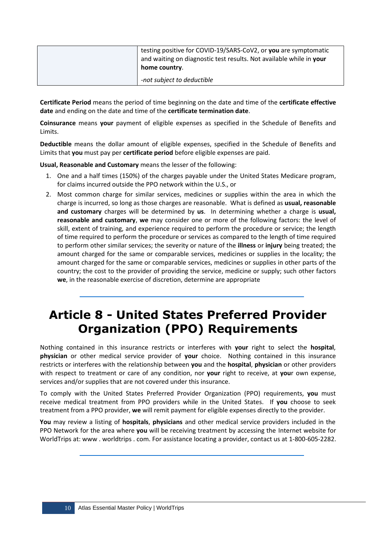| testing positive for COVID-19/SARS-CoV2, or you are symptomatic<br>and waiting on diagnostic test results. Not available while in your<br>home country. |
|---------------------------------------------------------------------------------------------------------------------------------------------------------|
| -not subject to deductible                                                                                                                              |

**Certificate Period** means the period of time beginning on the date and time of the **certificate effective date** and ending on the date and time of the **certificate termination date**.

**Coinsurance** means **your** payment of eligible expenses as specified in the Schedule of Benefits and Limits.

**Deductible** means the dollar amount of eligible expenses, specified in the Schedule of Benefits and Limits that **you** must pay per **certificate period** before eligible expenses are paid.

**Usual, Reasonable and Customary** means the lesser of the following:

- 1. One and a half times (150%) of the charges payable under the United States Medicare program, for claims incurred outside the PPO network within the U.S., or
- 2. Most common charge for similar services, medicines or supplies within the area in which the charge is incurred, so long as those charges are reasonable. What is defined as **usual, reasonable and customary** charges will be determined by **us**. In determining whether a charge is **usual, reasonable and customary**, **we** may consider one or more of the following factors: the level of skill, extent of training, and experience required to perform the procedure or service; the length of time required to perform the procedure or services as compared to the length of time required to perform other similar services; the severity or nature of the **illness** or **injury** being treated; the amount charged for the same or comparable services, medicines or supplies in the locality; the amount charged for the same or comparable services, medicines or supplies in other parts of the country; the cost to the provider of providing the service, medicine or supply; such other factors **we**, in the reasonable exercise of discretion, determine are appropriate

# <span id="page-8-0"></span>**Article 8 - United States Preferred Provider Organization (PPO) Requirements**

Nothing contained in this insurance restricts or interferes with **your** right to select the **hospital**, **physician** or other medical service provider of **your** choice. Nothing contained in this insurance restricts or interferes with the relationship between **you** and the **hospital**, **physician** or other providers with respect to treatment or care of any condition, nor **your** right to receive, at **you**r own expense, services and/or supplies that are not covered under this insurance.

To comply with the United States Preferred Provider Organization (PPO) requirements, **you** must receive medical treatment from PPO providers while in the United States. If **you** choose to seek treatment from a PPO provider, **we** will remit payment for eligible expenses directly to the provider.

**You** may review a listing of **hospitals**, **physicians** and other medical service providers included in the PPO Network for the area where **you** will be receiving treatment by accessing the Internet website for WorldTrips at: www . worldtrips . com. For assistance locating a provider, contact us at 1-800-605-2282.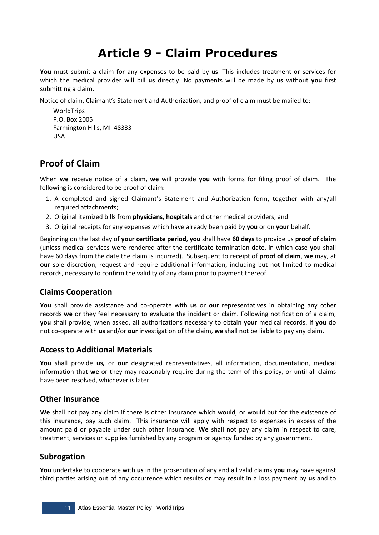# **Article 9 - Claim Procedures**

<span id="page-9-0"></span>**You** must submit a claim for any expenses to be paid by **us**. This includes treatment or services for which the medical provider will bill **us** directly. No payments will be made by **us** without **you** first submitting a claim.

Notice of claim, Claimant's Statement and Authorization, and proof of claim must be mailed to:

<span id="page-9-1"></span>**WorldTrips** P.O. Box 2005 Farmington Hills, MI 48333 USA

# **Proof of Claim**

When **we** receive notice of a claim, **we** will provide **you** with forms for filing proof of claim. The following is considered to be proof of claim:

- 1. A completed and signed Claimant's Statement and Authorization form, together with any/all required attachments;
- 2. Original itemized bills from **physicians**, **hospitals** and other medical providers; and
- 3. Original receipts for any expenses which have already been paid by **you** or on **your** behalf.

<span id="page-9-2"></span>Beginning on the last day of **your certificate period, you** shall have **60 days** to provide us **proof of claim** (unless medical services were rendered after the certificate termination date, in which case **you** shall have 60 days from the date the claim is incurred). Subsequent to receipt of **proof of claim**, **we** may, at **our** sole discretion, request and require additional information, including but not limited to medical records, necessary to confirm the validity of any claim prior to payment thereof.

### **Claims Cooperation**

<span id="page-9-3"></span>**You** shall provide assistance and co-operate with **us** or **our** representatives in obtaining any other records **we** or they feel necessary to evaluate the incident or claim. Following notification of a claim, **you** shall provide, when asked, all authorizations necessary to obtain **your** medical records. If **you** do not co-operate with **us** and/or **our** investigation of the claim, **we** shall not be liable to pay any claim.

### <span id="page-9-4"></span>**Access to Additional Materials**

**You** shall provide **us***,* or **our** designated representatives, all information, documentation, medical information that **we** or they may reasonably require during the term of this policy, or until all claims have been resolved, whichever is later.

### **Other Insurance**

<span id="page-9-5"></span>**We** shall not pay any claim if there is other insurance which would, or would but for the existence of this insurance, pay such claim. This insurance will apply with respect to expenses in excess of the amount paid or payable under such other insurance. **We** shall not pay any claim in respect to care, treatment, services or supplies furnished by any program or agency funded by any government.

### **Subrogation**

**You** undertake to cooperate with **us** in the prosecution of any and all valid claims **you** may have against third parties arising out of any occurrence which results or may result in a loss payment by **us** and to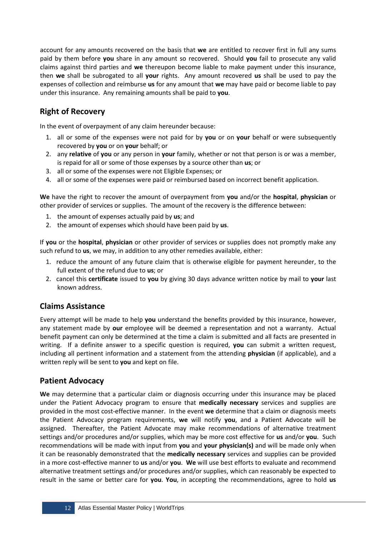<span id="page-10-0"></span>account for any amounts recovered on the basis that **we** are entitled to recover first in full any sums paid by them before **you** share in any amount so recovered. Should **you** fail to prosecute any valid claims against third parties and **we** thereupon become liable to make payment under this insurance, then **we** shall be subrogated to all **your** rights. Any amount recovered **us** shall be used to pay the expenses of collection and reimburse **us** for any amount that **we** may have paid or become liable to pay under this insurance. Any remaining amounts shall be paid to **you**.

# **Right of Recovery**

In the event of overpayment of any claim hereunder because:

- 1. all or some of the expenses were not paid for by **you** or on **your** behalf or were subsequently recovered by **you** or on **your** behalf; or
- 2. any **relative** of **you** or any person in **your** family, whether or not that person is or was a member, is repaid for all or some of those expenses by a source other than **us**; or
- 3. all or some of the expenses were not Eligible Expenses; or
- 4. all or some of the expenses were paid or reimbursed based on incorrect benefit application.

**We** have the right to recover the amount of overpayment from **you** and/or the **hospital**, **physician** or other provider of services or supplies. The amount of the recovery is the difference between:

- 1. the amount of expenses actually paid by **us**; and
- 2. the amount of expenses which should have been paid by **us**.

If **you** or the **hospital**, **physician** or other provider of services or supplies does not promptly make any such refund to **us**, we may, in addition to any other remedies available, either:

- <span id="page-10-1"></span>1. reduce the amount of any future claim that is otherwise eligible for payment hereunder, to the full extent of the refund due to **us**; or
- 2. cancel this **certificate** issued to **you** by giving 30 days advance written notice by mail to **your** last known address.

# **Claims Assistance**

<span id="page-10-2"></span>Every attempt will be made to help **you** understand the benefits provided by this insurance, however, any statement made by **our** employee will be deemed a representation and not a warranty. Actual benefit payment can only be determined at the time a claim is submitted and all facts are presented in writing. If a definite answer to a specific question is required, **you** can submit a written request, including all pertinent information and a statement from the attending **physician** (if applicable), and a written reply will be sent to **you** and kept on file.

# **Patient Advocacy**

**We** may determine that a particular claim or diagnosis occurring under this insurance may be placed under the Patient Advocacy program to ensure that **medically necessary** services and supplies are provided in the most cost-effective manner. In the event **we** determine that a claim or diagnosis meets the Patient Advocacy program requirements, **we** will notify **you**, and a Patient Advocate will be assigned. Thereafter, the Patient Advocate may make recommendations of alternative treatment settings and/or procedures and/or supplies, which may be more cost effective for **us** and/or **you**. Such recommendations will be made with input from **you** and **your physician(s)** and will be made only when it can be reasonably demonstrated that the **medically necessary** services and supplies can be provided in a more cost-effective manner to **us** and/or **you**. **We** will use best efforts to evaluate and recommend alternative treatment settings and/or procedures and/or supplies, which can reasonably be expected to result in the same or better care for **you**. **You**, in accepting the recommendations, agree to hold **us**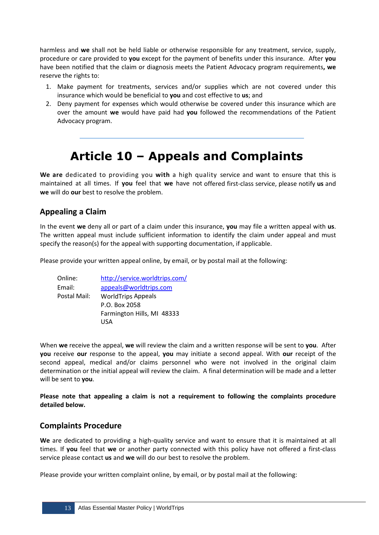harmless and **we** shall not be held liable or otherwise responsible for any treatment, service, supply, procedure or care provided to **you** except for the payment of benefits under this insurance. After **you** have been notified that the claim or diagnosis meets the Patient Advocacy program requirements**, we** reserve the rights to:

- 1. Make payment for treatments, services and/or supplies which are not covered under this insurance which would be beneficial to **you** and cost effective to **us**; and
- <span id="page-11-0"></span>2. Deny payment for expenses which would otherwise be covered under this insurance which are over the amount **we** would have paid had **you** followed the recommendations of the Patient Advocacy program.

# **Article 10 – Appeals and Complaints**

<span id="page-11-1"></span>**We are** dedicated to providing you **with** a high quality service and want to ensure that this is maintained at all times. If **you** feel that **we** have not offered first-class service, please notify **us** and **we** will do **our** best to resolve the problem.

# **Appealing a Claim**

In the event **we** deny all or part of a claim under this insurance, **you** may file a written appeal with **us**. The written appeal must include sufficient information to identify the claim under appeal and must specify the reason(s) for the appeal with supporting documentation, if applicable.

Please provide your written appeal online, by email, or by postal mail at the following:

Online: http://service.worldtrips.com/ Email: appeals@worldtrips.com Postal Mail: WorldTrips Appeals P.O. Box 2058 Farmington Hills, MI 48333 USA

When **we** receive the appeal, **we** will review the claim and a written response will be sent to **you**. After **you** receive **our** response to the appeal, **you** may initiate a second appeal. With **our** receipt of the second appeal, medical and/or claims personnel who were not involved in the original claim determination or the initial appeal will review the claim. A final determination will be made and a letter will be sent to **you**.

<span id="page-11-2"></span>**Please note that appealing a claim is not a requirement to following the complaints procedure detailed below.**

### **Complaints Procedure**

**We** are dedicated to providing a high-quality service and want to ensure that it is maintained at all times. If **you** feel that **we** or another party connected with this policy have not offered a first-class service please contact **us** and **we** will do our best to resolve the problem.

Please provide your written complaint online, by email, or by postal mail at the following: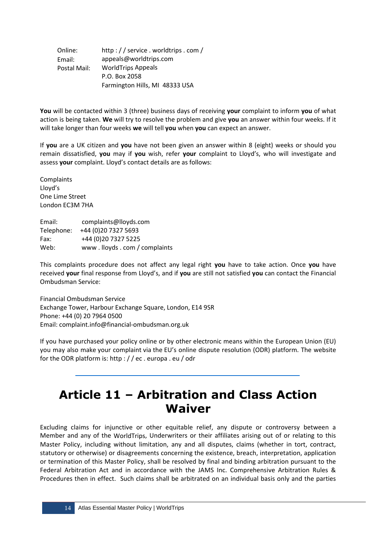| Online:      | http://service.worldtrips.com/ |
|--------------|--------------------------------|
| Email:       | appeals@worldtrips.com         |
| Postal Mail: | <b>WorldTrips Appeals</b>      |
|              | P.O. Box 2058                  |
|              | Farmington Hills, MI 48333 USA |

**You** will be contacted within 3 (three) business days of receiving **your** complaint to inform **you** of what action is being taken. **We** will try to resolve the problem and give **you** an answer within four weeks. If it will take longer than four weeks **we** will tell **you** when **you** can expect an answer.

If **you** are a UK citizen and **you** have not been given an answer within 8 (eight) weeks or should you remain dissatisfied, **you** may if **you** wish, refer **your** complaint to Lloyd's, who will investigate and assess **your** complaint. Lloyd's contact details are as follows:

Complaints Lloyd's One Lime Street London EC3M 7HA

Email: complaints@lloyds.com Telephone: +44 (0)20 7327 5693 Fax: Web: +44 (0)20 7327 5225 www . lloyds . com / complaints

This complaints procedure does not affect any legal right **you** have to take action. Once **you** have received **your** final response from Lloyd's, and if **you** are still not satisfied **you** can contact the Financial Ombudsman Service:

Financial Ombudsman Service Exchange Tower, Harbour Exchange Square, London, E14 9SR Phone: +44 (0) 20 7964 0500 Email: complaint.info@financial-ombudsman.org.uk

<span id="page-12-0"></span>If you have purchased your policy online or by other electronic means within the European Union (EU) you may also make your complaint via the EU's online dispute resolution (ODR) platform. The website for the ODR platform is: http : / / ec . europa . eu / odr

# **Article 11 – Arbitration and Class Action Waiver**

Excluding claims for injunctive or other equitable relief, any dispute or controversy between a Member and any of the WorldTrips, Underwriters or their affiliates arising out of or relating to this Master Policy, including without limitation, any and all disputes, claims (whether in tort, contract, statutory or otherwise) or disagreements concerning the existence, breach, interpretation, application or termination of this Master Policy, shall be resolved by final and binding arbitration pursuant to the Federal Arbitration Act and in accordance with the JAMS Inc. Comprehensive Arbitration Rules & Procedures then in effect. Such claims shall be arbitrated on an individual basis only and the parties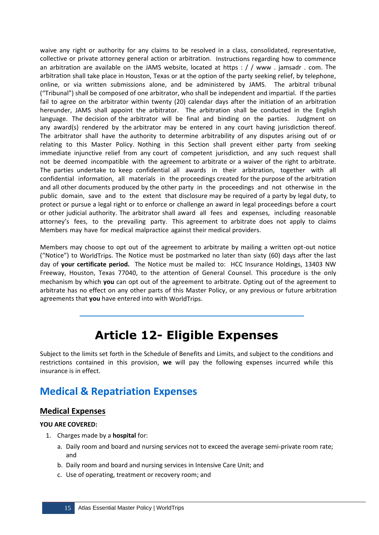waive any right or authority for any claims to be resolved in a class, consolidated, representative, collective or private attorney general action or arbitration. Instructions regarding how to commence an arbitration are available on the JAMS website, located at https : / / www . jamsadr . com. The arbitration shall take place in Houston, Texas or at the option of the party seeking relief, by telephone, online, or via written submissions alone, and be administered by JAMS. The arbitral tribunal ("Tribunal") shall be composed of one arbitrator, who shall be independent and impartial. If the parties fail to agree on the arbitrator within twenty (20) calendar days after the initiation of an arbitration hereunder, JAMS shall appoint the arbitrator. The arbitration shall be conducted in the English language. The decision of the arbitrator will be final and binding on the parties. Judgment on any award(s) rendered by the arbitrator may be entered in any court having jurisdiction thereof. The arbitrator shall have the authority to determine arbitrability of any disputes arising out of or relating to this Master Policy. Nothing in this Section shall prevent either party from seeking immediate injunctive relief from any court of competent jurisdiction, and any such request shall not be deemed incompatible with the agreement to arbitrate or a waiver of the right to arbitrate. The parties undertake to keep confidential all awards in their arbitration, together with all confidential information, all materials in the proceedings created for the purpose of the arbitration and all other documents produced by the other party in the proceedings and not otherwise in the public domain, save and to the extent that disclosure may be required of a party by legal duty, to protect or pursue a legal right or to enforce or challenge an award in legal proceedings before a court or other judicial authority. The arbitrator shall award all fees and expenses, including reasonable attorney's fees, to the prevailing party. This agreement to arbitrate does not apply to claims Members may have for medical malpractice against their medical providers.

<span id="page-13-0"></span>Members may choose to opt out of the agreement to arbitrate by mailing a written opt-out notice ("Notice") to WorldTrips. The Notice must be postmarked no later than sixty (60) days after the last day of **your certificate period.** The Notice must be mailed to: HCC Insurance Holdings, 13403 NW Freeway, Houston, Texas 77040, to the attention of General Counsel. This procedure is the only mechanism by which **you** can opt out of the agreement to arbitrate. Opting out of the agreement to arbitrate has no effect on any other parts of this Master Policy, or any previous or future arbitration agreements that **you** have entered into with WorldTrips.

# **Article 12- Eligible Expenses**

<span id="page-13-1"></span>Subject to the limits set forth in the Schedule of Benefits and Limits, and subject to the conditions and restrictions contained in this provision, **we** will pay the following expenses incurred while this insurance is in effect.

# **Medical & Repatriation Expenses**

### **Medical Expenses**

#### **YOU ARE COVERED:**

- 1. Charges made by a **hospital** for:
	- a. Daily room and board and nursing services not to exceed the average semi-private room rate; and
	- b. Daily room and board and nursing services in Intensive Care Unit; and
	- c. Use of operating, treatment or recovery room; and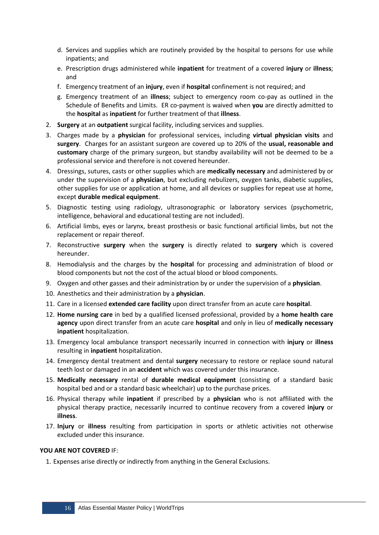- d. Services and supplies which are routinely provided by the hospital to persons for use while inpatients; and
- e. Prescription drugs administered while **inpatient** for treatment of a covered **injury** or **illness**; and
- f. Emergency treatment of an **injury**, even if **hospital** confinement is not required; and
- g. Emergency treatment of an **illness**; subject to emergency room co-pay as outlined in the Schedule of Benefits and Limits. ER co-payment is waived when **you** are directly admitted to the **hospital** as **inpatient** for further treatment of that **illness**.
- 2. **Surgery** at an **outpatient** surgical facility, including services and supplies.
- 3. Charges made by a **physician** for professional services, including **virtual physician visits** and **surgery**. Charges for an assistant surgeon are covered up to 20% of the **usual, reasonable and customary** charge of the primary surgeon, but standby availability will not be deemed to be a professional service and therefore is not covered hereunder.
- 4. Dressings, sutures, casts or other supplies which are **medically necessary** and administered by or under the supervision of a **physician**, but excluding nebulizers, oxygen tanks, diabetic supplies, other supplies for use or application at home, and all devices or supplies for repeat use at home, except **durable medical equipment**.
- 5. Diagnostic testing using radiology, ultrasonographic or laboratory services (psychometric, intelligence, behavioral and educational testing are not included).
- 6. Artificial limbs, eyes or larynx, breast prosthesis or basic functional artificial limbs, but not the replacement or repair thereof.
- 7. Reconstructive **surgery** when the **surgery** is directly related to **surgery** which is covered hereunder.
- 8. Hemodialysis and the charges by the **hospital** for processing and administration of blood or blood components but not the cost of the actual blood or blood components.
- 9. Oxygen and other gasses and their administration by or under the supervision of a **physician**.
- 10. Anesthetics and their administration by a **physician**.
- 11. Care in a licensed **extended care facility** upon direct transfer from an acute care **hospital**.
- 12. **Home nursing care** in bed by a qualified licensed professional, provided by a **home health care agency** upon direct transfer from an acute care **hospital** and only in lieu of **medically necessary inpatient** hospitalization.
- 13. Emergency local ambulance transport necessarily incurred in connection with **injury** or **illness** resulting in **inpatient** hospitalization.
- 14. Emergency dental treatment and dental **surgery** necessary to restore or replace sound natural teeth lost or damaged in an **accident** which was covered under this insurance.
- 15. **Medically necessary** rental of **durable medical equipment** (consisting of a standard basic hospital bed and or a standard basic wheelchair) up to the purchase prices.
- 16. Physical therapy while **inpatient** if prescribed by a **physician** who is not affiliated with the physical therapy practice, necessarily incurred to continue recovery from a covered **injury** or **illness**.
- 17. **Injury** or **illness** resulting from participation in sports or athletic activities not otherwise excluded under this insurance.

#### **YOU ARE NOT COVERED** IF:

1. Expenses arise directly or indirectly from anything in the General Exclusions.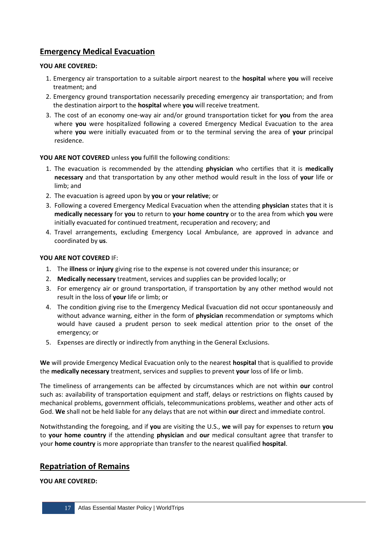## **Emergency Medical Evacuation**

#### **YOU ARE COVERED:**

- 1. Emergency air transportation to a suitable airport nearest to the **hospital** where **you** will receive treatment; and
- 2. Emergency ground transportation necessarily preceding emergency air transportation; and from the destination airport to the **hospital** where **you** will receive treatment.
- 3. The cost of an economy one-way air and/or ground transportation ticket for **you** from the area where **you** were hospitalized following a covered Emergency Medical Evacuation to the area where **you** were initially evacuated from or to the terminal serving the area of **your** principal residence.

#### **YOU ARE NOT COVERED** unless **you** fulfill the following conditions:

- 1. The evacuation is recommended by the attending **physician** who certifies that it is **medically necessary** and that transportation by any other method would result in the loss of **your** life or limb; and
- 2. The evacuation is agreed upon by **you** or **your relative**; or
- 3. Following a covered Emergency Medical Evacuation when the attending **physician** states that it is **medically necessary** for **you** to return to **you**r **home country** or to the area from which **you** were initially evacuated for continued treatment, recuperation and recovery; and
- 4. Travel arrangements, excluding Emergency Local Ambulance, are approved in advance and coordinated by **us**.

#### **YOU ARE NOT COVERED** IF:

- 1. The **illness** or **injury** giving rise to the expense is not covered under this insurance; or
- 2. **Medically necessary** treatment, services and supplies can be provided locally; or
- 3. For emergency air or ground transportation, if transportation by any other method would not result in the loss of **your** life or limb; or
- 4. The condition giving rise to the Emergency Medical Evacuation did not occur spontaneously and without advance warning, either in the form of **physician** recommendation or symptoms which would have caused a prudent person to seek medical attention prior to the onset of the emergency; or
- 5. Expenses are directly or indirectly from anything in the General Exclusions.

**We** will provide Emergency Medical Evacuation only to the nearest **hospital** that is qualified to provide the **medically necessary** treatment, services and supplies to prevent **your** loss of life or limb.

The timeliness of arrangements can be affected by circumstances which are not within **our** control such as: availability of transportation equipment and staff, delays or restrictions on flights caused by mechanical problems, government officials, telecommunications problems, weather and other acts of God. **We** shall not be held liable for any delays that are not within **our** direct and immediate control.

Notwithstanding the foregoing, and if **you** are visiting the U.S., **we** will pay for expenses to return **you** to **your home country** if the attending **physician** and **our** medical consultant agree that transfer to your **home country** is more appropriate than transfer to the nearest qualified **hospital**.

### **Repatriation of Remains**

**YOU ARE COVERED:**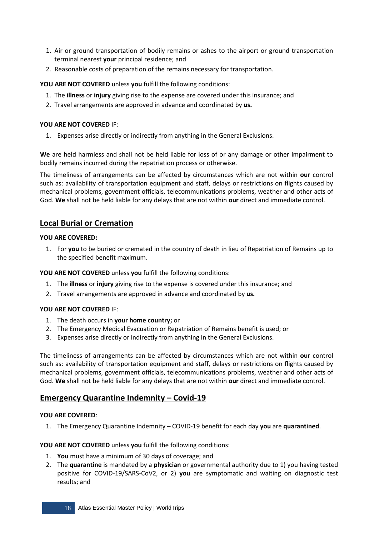- 1. Air or ground transportation of bodily remains or ashes to the airport or ground transportation terminal nearest **your** principal residence; and
- 2. Reasonable costs of preparation of the remains necessary for transportation.

**YOU ARE NOT COVERED** unless **you** fulfill the following conditions:

- 1. The **illness** or **injury** giving rise to the expense are covered under this insurance; and
- 2. Travel arrangements are approved in advance and coordinated by **us.**

#### **YOU ARE NOT COVERED** IF:

1. Expenses arise directly or indirectly from anything in the General Exclusions.

**We** are held harmless and shall not be held liable for loss of or any damage or other impairment to bodily remains incurred during the repatriation process or otherwise.

The timeliness of arrangements can be affected by circumstances which are not within **our** control such as: availability of transportation equipment and staff, delays or restrictions on flights caused by mechanical problems, government officials, telecommunications problems, weather and other acts of God. **We** shall not be held liable for any delays that are not within **our** direct and immediate control.

## **Local Burial or Cremation**

#### **YOU ARE COVERED:**

1. For **you** to be buried or cremated in the country of death in lieu of Repatriation of Remains up to the specified benefit maximum.

**YOU ARE NOT COVERED** unless **you** fulfill the following conditions:

- 1. The **illness** or **injury** giving rise to the expense is covered under this insurance; and
- 2. Travel arrangements are approved in advance and coordinated by **us.**

### **YOU ARE NOT COVERED** IF:

- 1. The death occurs in **your home country;** or
- 2. The Emergency Medical Evacuation or Repatriation of Remains benefit is used; or
- 3. Expenses arise directly or indirectly from anything in the General Exclusions.

<span id="page-16-0"></span>The timeliness of arrangements can be affected by circumstances which are not within **our** control such as: availability of transportation equipment and staff, delays or restrictions on flights caused by mechanical problems, government officials, telecommunications problems, weather and other acts of God. **We** shall not be held liable for any delays that are not within **our** direct and immediate control.

### **Emergency Quarantine Indemnity – Covid-19**

#### **YOU ARE COVERED**:

1. The Emergency Quarantine Indemnity – COVID-19 benefit for each day **you** are **quarantined**.

**YOU ARE NOT COVERED** unless **you** fulfill the following conditions:

- 1. **You** must have a minimum of 30 days of coverage; and
- 2. The **quarantine** is mandated by a **physician** or governmental authority due to 1) you having tested positive for COVID-19/SARS-CoV2, or 2) **you** are symptomatic and waiting on diagnostic test results; and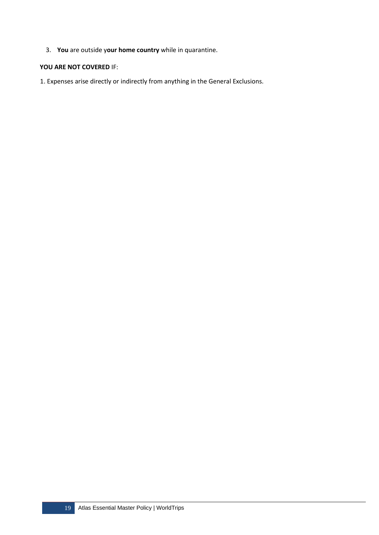3. **You** are outside y**our home country** while in quarantine.

#### **YOU ARE NOT COVERED** IF:

1. Expenses arise directly or indirectly from anything in the General Exclusions.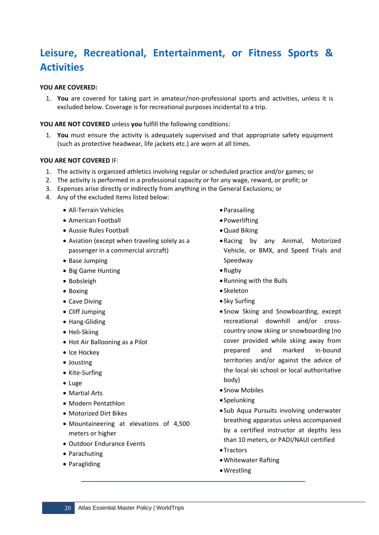# <span id="page-18-0"></span>**Leisure, Recreational, Entertainment, or Fitness Sports & Activities**

#### **YOU ARE COVERED:**

1. **You** are covered for taking part in amateur/non-professional sports and activities, unless it is excluded below. Coverage is for recreational purposes incidental to a trip.

#### **YOU ARE NOT COVERED** unless **you** fulfill the following conditions:

1. **You** must ensure the activity is adequately supervised and that appropriate safety equipment (such as protective headwear, life jackets etc.) are worn at all times.

#### **YOU ARE NOT COVERED** IF:

- 1. The activity is organized athletics involving regular or scheduled practice and/or games; or
- 2. The activity is performed in a professional capacity or for any wage, reward, or profit; or
- 3. Expenses arise directly or indirectly from anything in the General Exclusions; or
- 4. Any of the excluded items listed below:
	- All-Terrain Vehicles
	- American Football
	- Aussie Rules Football
	- Aviation (except when traveling solely as a passenger in a commercial aircraft)
	- Base Jumping
	- Big Game Hunting
	- Bobsleigh
	- Boxing
	- Cave Diving
	- Cliff Jumping
	- Hang-Gliding
	- Heli-Skiing
	- Hot Air Ballooning as a Pilot
	- Ice Hockey
	- Jousting
	- Kite-Surfing
	- Luge
	- Martial Arts
	- Modern Pentathlon
	- Motorized Dirt Bikes
	- Mountaineering at elevations of 4,500 meters or higher
	- Outdoor Endurance Events
	- Parachuting
	- Paragliding
- •Parasailing
- •Powerlifting
- •Quad Biking
- •Racing by any Animal, Motorized Vehicle, or BMX, and Speed Trials and Speedway
- •Rugby
- •Running with the Bulls
- Skeleton
- Sky Surfing
- Snow Skiing and Snowboarding, except recreational downhill and/or crosscountry snow skiing or snowboarding (no cover provided while skiing away from prepared and marked in-bound territories and/or against the advice of the local ski school or local authoritative body)
- Snow Mobiles
- Spelunking
- Sub Aqua Pursuits involving underwater breathing apparatus unless accompanied by a certified instructor at depths less than 10 meters, or PADI/NAUI certified
- •Tractors
- •Whitewater Rafting
- •Wrestling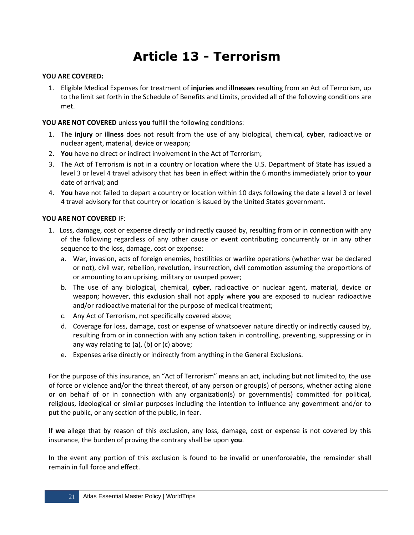# **Article 13 - Terrorism**

#### <span id="page-19-0"></span>**YOU ARE COVERED:**

1. Eligible Medical Expenses for treatment of **injuries** and **illnesses** resulting from an Act of Terrorism, up to the limit set forth in the Schedule of Benefits and Limits, provided all of the following conditions are met.

**YOU ARE NOT COVERED** unless **you** fulfill the following conditions:

- 1. The **injury** or **illness** does not result from the use of any biological, chemical, **cyber**, radioactive or nuclear agent, material, device or weapon;
- 2. **You** have no direct or indirect involvement in the Act of Terrorism;
- 3. The Act of Terrorism is not in a country or location where the U.S. Department of State has issued a level 3 or level 4 travel advisory that has been in effect within the 6 months immediately prior to **your** date of arrival; and
- 4. **You** have not failed to depart a country or location within 10 days following the date a level 3 or level 4 travel advisory for that country or location is issued by the United States government.

#### **YOU ARE NOT COVERED** IF:

- 1. Loss, damage, cost or expense directly or indirectly caused by, resulting from or in connection with any of the following regardless of any other cause or event contributing concurrently or in any other sequence to the loss, damage, cost or expense:
	- a. War, invasion, acts of foreign enemies, hostilities or warlike operations (whether war be declared or not), civil war, rebellion, revolution, insurrection, civil commotion assuming the proportions of or amounting to an uprising, military or usurped power;
	- b. The use of any biological, chemical, **cyber**, radioactive or nuclear agent, material, device or weapon; however, this exclusion shall not apply where **you** are exposed to nuclear radioactive and/or radioactive material for the purpose of medical treatment;
	- c. Any Act of Terrorism, not specifically covered above;
	- d. Coverage for loss, damage, cost or expense of whatsoever nature directly or indirectly caused by, resulting from or in connection with any action taken in controlling, preventing, suppressing or in any way relating to (a), (b) or (c) above;
	- e. Expenses arise directly or indirectly from anything in the General Exclusions.

For the purpose of this insurance, an "Act of Terrorism" means an act, including but not limited to, the use of force or violence and/or the threat thereof, of any person or group(s) of persons, whether acting alone or on behalf of or in connection with any organization(s) or government(s) committed for political, religious, ideological or similar purposes including the intention to influence any government and/or to put the public, or any section of the public, in fear.

If **we** allege that by reason of this exclusion, any loss, damage, cost or expense is not covered by this insurance, the burden of proving the contrary shall be upon **you**.

In the event any portion of this exclusion is found to be invalid or unenforceable, the remainder shall remain in full force and effect.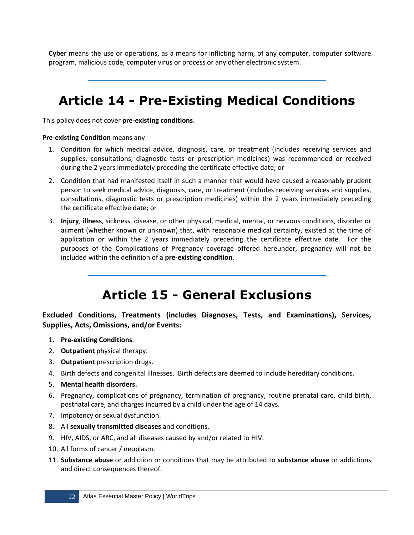**Cyber** means the use or operations, as a means for inflicting harm, of any computer, computer software program, malicious code, computer virus or process or any other electronic system.

# <span id="page-20-0"></span>**Article 14 - Pre-Existing Medical Conditions**

This policy does not cover **pre-existing conditions**.

**Pre-existing Condition** means any

- 1. Condition for which medical advice, diagnosis, care, or treatment (includes receiving services and supplies, consultations, diagnostic tests or prescription medicines) was recommended or received during the 2 years immediately preceding the certificate effective date; or
- 2. Condition that had manifested itself in such a manner that would have caused a reasonably prudent person to seek medical advice, diagnosis, care, or treatment (includes receiving services and supplies, consultations, diagnostic tests or prescription medicines) within the 2 years immediately preceding the certificate effective date; or
- 3. **Injury**, **illness**, sickness, disease, or other physical, medical, mental, or nervous conditions, disorder or ailment (whether known or unknown) that, with reasonable medical certainty, existed at the time of application or within the 2 years immediately preceding the certificate effective date. For the purposes of the Complications of Pregnancy coverage offered hereunder, pregnancy will not be included within the definition of a **pre-existing condition**.

# **Article 15 - General Exclusions**

<span id="page-20-1"></span>**Excluded Conditions, Treatments (includes Diagnoses, Tests, and Examinations), Services, Supplies, Acts, Omissions, and/or Events:**

- 1. **Pre-existing Conditions**.
- 2. **Outpatient** physical therapy.
- 3. **Outpatient** prescription drugs.
- 4. Birth defects and congenital illnesses. Birth defects are deemed to include hereditary conditions.
- 5. **Mental health disorders.**
- 6. Pregnancy, complications of pregnancy, termination of pregnancy, routine prenatal care, child birth, postnatal care, and charges incurred by a child under the age of 14 days.
- 7. Impotency or sexual dysfunction.
- 8. All **sexually transmitted diseases** and conditions.
- 9. HIV, AIDS, or ARC, and all diseases caused by and/or related to HIV.
- 10. All forms of cancer / neoplasm.
- 11. **Substance abuse** or addiction or conditions that may be attributed to **substance abuse** or addictions and direct consequences thereof.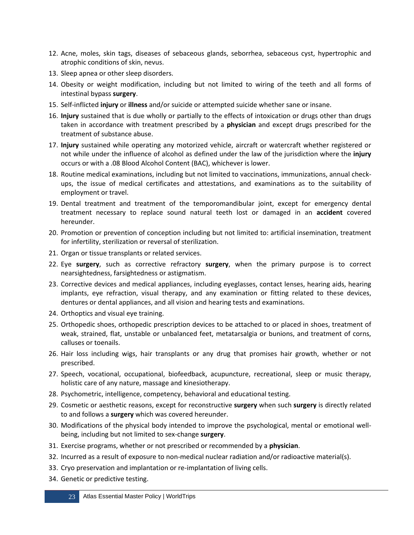- 12. Acne, moles, skin tags, diseases of sebaceous glands, seborrhea, sebaceous cyst, hypertrophic and atrophic conditions of skin, nevus.
- 13. Sleep apnea or other sleep disorders.
- 14. Obesity or weight modification, including but not limited to wiring of the teeth and all forms of intestinal bypass **surgery**.
- 15. Self-inflicted **injury** or **illness** and/or suicide or attempted suicide whether sane or insane.
- 16. **Injury** sustained that is due wholly or partially to the effects of intoxication or drugs other than drugs taken in accordance with treatment prescribed by a **physician** and except drugs prescribed for the treatment of substance abuse.
- 17. **Injury** sustained while operating any motorized vehicle, aircraft or watercraft whether registered or not while under the influence of alcohol as defined under the law of the jurisdiction where the **injury** occurs or with a .08 Blood Alcohol Content (BAC), whichever is lower.
- 18. Routine medical examinations, including but not limited to vaccinations, immunizations, annual checkups, the issue of medical certificates and attestations, and examinations as to the suitability of employment or travel.
- 19. Dental treatment and treatment of the temporomandibular joint, except for emergency dental treatment necessary to replace sound natural teeth lost or damaged in an **accident** covered hereunder.
- 20. Promotion or prevention of conception including but not limited to: artificial insemination, treatment for infertility, sterilization or reversal of sterilization.
- 21. Organ or tissue transplants or related services.
- 22. Eye **surgery**, such as corrective refractory **surgery**, when the primary purpose is to correct nearsightedness, farsightedness or astigmatism.
- 23. Corrective devices and medical appliances, including eyeglasses, contact lenses, hearing aids, hearing implants, eye refraction, visual therapy, and any examination or fitting related to these devices, dentures or dental appliances, and all vision and hearing tests and examinations.
- 24. Orthoptics and visual eye training.
- 25. Orthopedic shoes, orthopedic prescription devices to be attached to or placed in shoes, treatment of weak, strained, flat, unstable or unbalanced feet, metatarsalgia or bunions, and treatment of corns, calluses or toenails.
- 26. Hair loss including wigs, hair transplants or any drug that promises hair growth, whether or not prescribed.
- 27. Speech, vocational, occupational, biofeedback, acupuncture, recreational, sleep or music therapy, holistic care of any nature, massage and kinesiotherapy.
- 28. Psychometric, intelligence, competency, behavioral and educational testing.
- 29. Cosmetic or aesthetic reasons, except for reconstructive **surgery** when such **surgery** is directly related to and follows a **surgery** which was covered hereunder.
- 30. Modifications of the physical body intended to improve the psychological, mental or emotional wellbeing, including but not limited to sex-change **surgery**.
- 31. Exercise programs, whether or not prescribed or recommended by a **physician**.
- 32. Incurred as a result of exposure to non-medical nuclear radiation and/or radioactive material(s).
- 33. Cryo preservation and implantation or re-implantation of living cells.
- 34. Genetic or predictive testing.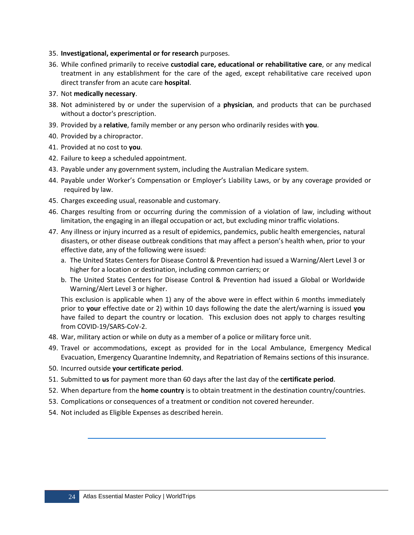- 35. **Investigational, experimental or for research** purposes.
- 36. While confined primarily to receive **custodial care, educational or rehabilitative care**, or any medical treatment in any establishment for the care of the aged, except rehabilitative care received upon direct transfer from an acute care **hospital**.

#### 37. Not **medically necessary**.

- 38. Not administered by or under the supervision of a **physician**, and products that can be purchased without a doctor's prescription.
- 39. Provided by a **relative**, family member or any person who ordinarily resides with **you**.
- 40. Provided by a chiropractor.
- 41. Provided at no cost to **you**.
- 42. Failure to keep a scheduled appointment.
- 43. Payable under any government system, including the Australian Medicare system.
- 44. Payable under Worker's Compensation or Employer's Liability Laws, or by any coverage provided or required by law.
- 45. Charges exceeding usual, reasonable and customary.
- 46. Charges resulting from or occurring during the commission of a violation of law, including without limitation, the engaging in an illegal occupation or act, but excluding minor traffic violations.
- 47. Any illness or injury incurred as a result of epidemics, pandemics, public health emergencies, natural disasters, or other disease outbreak conditions that may affect a person's health when, prior to your effective date, any of the following were issued:
	- a. The United States Centers for Disease Control & Prevention had issued a Warning/Alert Level 3 or higher for a location or destination, including common carriers; or
	- b. The United States Centers for Disease Control & Prevention had issued a Global or Worldwide Warning/Alert Level 3 or higher.

This exclusion is applicable when 1) any of the above were in effect within 6 months immediately prior to **your** effective date or 2) within 10 days following the date the alert/warning is issued **you** have failed to depart the country or location. This exclusion does not apply to charges resulting from COVID-19/SARS-CoV-2.

- 48. War, military action or while on duty as a member of a police or military force unit.
- 49. Travel or accommodations, except as provided for in the Local Ambulance, Emergency Medical Evacuation, Emergency Quarantine Indemnity, and Repatriation of Remains sections of this insurance.
- 50. Incurred outside **your certificate period**.
- 51. Submitted to **us** for payment more than 60 days after the last day of the **certificate period**.
- 52. When departure from the **home country** is to obtain treatment in the destination country/countries.
- 53. Complications or consequences of a treatment or condition not covered hereunder.
- 54. Not included as Eligible Expenses as described herein.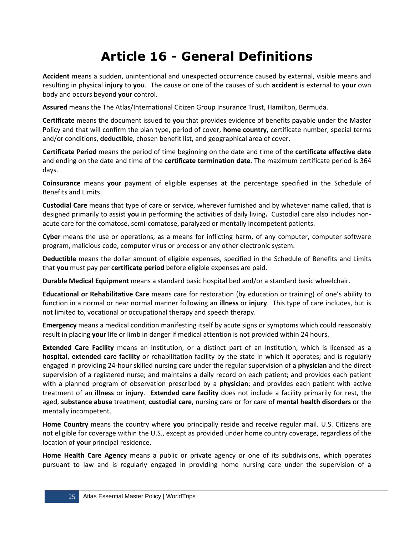# **Article 16 - General Definitions**

<span id="page-23-0"></span>**Accident** means a sudden, unintentional and unexpected occurrence caused by external, visible means and resulting in physical **injury** to **you**. The cause or one of the causes of such **accident** is external to **your** own body and occurs beyond **your** control.

**Assured** means the The Atlas/International Citizen Group Insurance Trust, Hamilton, Bermuda.

**Certificate** means the document issued to **you** that provides evidence of benefits payable under the Master Policy and that will confirm the plan type, period of cover, **home country**, certificate number, special terms and/or conditions, **deductible**, chosen benefit list, and geographical area of cover.

**Certificate Period** means the period of time beginning on the date and time of the **certificate effective date** and ending on the date and time of the **certificate termination date**. The maximum certificate period is 364 days.

**Coinsurance** means **your** payment of eligible expenses at the percentage specified in the Schedule of Benefits and Limits.

**Custodial Care** means that type of care or service, wherever furnished and by whatever name called, that is designed primarily to assist **you** in performing the activities of daily living**.** Custodial care also includes nonacute care for the comatose, semi-comatose, paralyzed or mentally incompetent patients.

**Cyber** means the use or operations, as a means for inflicting harm, of any computer, computer software program, malicious code, computer virus or process or any other electronic system.

**Deductible** means the dollar amount of eligible expenses, specified in the Schedule of Benefits and Limits that **you** must pay per **certificate period** before eligible expenses are paid.

**Durable Medical Equipment** means a standard basic hospital bed and/or a standard basic wheelchair.

**Educational or Rehabilitative Care** means care for restoration (by education or training) of one's ability to function in a normal or near normal manner following an **illness** or **injury**. This type of care includes, but is not limited to, vocational or occupational therapy and speech therapy.

**Emergency** means a medical condition manifesting itself by acute signs or symptoms which could reasonably result in placing **your** life or limb in danger if medical attention is not provided within 24 hours.

**Extended Care Facility** means an institution, or a distinct part of an institution, which is licensed as a **hospital**, **extended care facility** or rehabilitation facility by the state in which it operates; and is regularly engaged in providing 24-hour skilled nursing care under the regular supervision of a **physician** and the direct supervision of a registered nurse; and maintains a daily record on each patient; and provides each patient with a planned program of observation prescribed by a **physician**; and provides each patient with active treatment of an **illness** or **injury**. **Extended care facility** does not include a facility primarily for rest, the aged, **substance abuse** treatment, **custodial care**, nursing care or for care of **mental health disorders** or the mentally incompetent.

**Home Country** means the country where **you** principally reside and receive regular mail. U.S. Citizens are not eligible for coverage within the U.S., except as provided under home country coverage, regardless of the location of **your** principal residence.

**Home Health Care Agency** means a public or private agency or one of its subdivisions, which operates pursuant to law and is regularly engaged in providing home nursing care under the supervision of a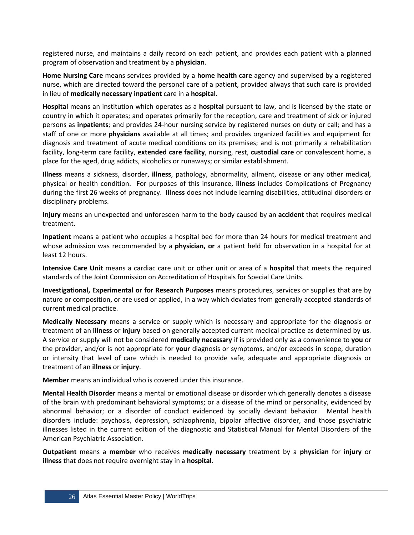registered nurse, and maintains a daily record on each patient, and provides each patient with a planned program of observation and treatment by a **physician**.

**Home Nursing Care** means services provided by a **home health care** agency and supervised by a registered nurse, which are directed toward the personal care of a patient, provided always that such care is provided in lieu of **medically necessary inpatient** care in a **hospital**.

**Hospital** means an institution which operates as a **hospital** pursuant to law, and is licensed by the state or country in which it operates; and operates primarily for the reception, care and treatment of sick or injured persons as **inpatients**; and provides 24-hour nursing service by registered nurses on duty or call; and has a staff of one or more **physicians** available at all times; and provides organized facilities and equipment for diagnosis and treatment of acute medical conditions on its premises; and is not primarily a rehabilitation facility, long-term care facility, **extended care facility**, nursing, rest, **custodial care** or convalescent home, a place for the aged, drug addicts, alcoholics or runaways; or similar establishment.

**Illness** means a sickness, disorder, **illness**, pathology, abnormality, ailment, disease or any other medical, physical or health condition. For purposes of this insurance, **illness** includes Complications of Pregnancy during the first 26 weeks of pregnancy. **Illness** does not include learning disabilities, attitudinal disorders or disciplinary problems.

**Injury** means an unexpected and unforeseen harm to the body caused by an **accident** that requires medical treatment.

**Inpatient** means a patient who occupies a hospital bed for more than 24 hours for medical treatment and whose admission was recommended by a **physician, or** a patient held for observation in a hospital for at least 12 hours.

**Intensive Care Unit** means a cardiac care unit or other unit or area of a **hospital** that meets the required standards of the Joint Commission on Accreditation of Hospitals for Special Care Units.

**Investigational, Experimental or for Research Purposes** means procedures, services or supplies that are by nature or composition, or are used or applied, in a way which deviates from generally accepted standards of current medical practice.

**Medically Necessary** means a service or supply which is necessary and appropriate for the diagnosis or treatment of an **illness** or **injury** based on generally accepted current medical practice as determined by **us**. A service or supply will not be considered **medically necessary** if is provided only as a convenience to **you** or the provider, and/or is not appropriate for **your** diagnosis or symptoms, and/or exceeds in scope, duration or intensity that level of care which is needed to provide safe, adequate and appropriate diagnosis or treatment of an **illness** or **injury**.

**Member** means an individual who is covered under this insurance.

**Mental Health Disorder** means a mental or emotional disease or disorder which generally denotes a disease of the brain with predominant behavioral symptoms; or a disease of the mind or personality, evidenced by abnormal behavior; or a disorder of conduct evidenced by socially deviant behavior. Mental health disorders include: psychosis, depression, schizophrenia, bipolar affective disorder, and those psychiatric illnesses listed in the current edition of the diagnostic and Statistical Manual for Mental Disorders of the American Psychiatric Association.

**Outpatient** means a **member** who receives **medically necessary** treatment by a **physician** for **injury** or **illness** that does not require overnight stay in a **hospital**.